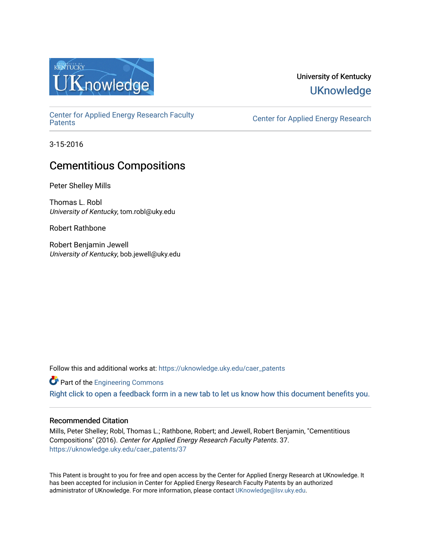

# University of Kentucky **UKnowledge**

[Center for Applied Energy Research Faculty](https://uknowledge.uky.edu/caer_patents)

Center for Applied Energy Research

3-15-2016

# Cementitious Compositions

Peter Shelley Mills

Thomas L. Robl University of Kentucky, tom.robl@uky.edu

Robert Rathbone

Robert Benjamin Jewell University of Kentucky, bob.jewell@uky.edu

Follow this and additional works at: [https://uknowledge.uky.edu/caer\\_patents](https://uknowledge.uky.edu/caer_patents?utm_source=uknowledge.uky.edu%2Fcaer_patents%2F37&utm_medium=PDF&utm_campaign=PDFCoverPages) 

**Part of the [Engineering Commons](http://network.bepress.com/hgg/discipline/217?utm_source=uknowledge.uky.edu%2Fcaer_patents%2F37&utm_medium=PDF&utm_campaign=PDFCoverPages)** 

[Right click to open a feedback form in a new tab to let us know how this document benefits you.](https://uky.az1.qualtrics.com/jfe/form/SV_9mq8fx2GnONRfz7)

# Recommended Citation

Mills, Peter Shelley; Robl, Thomas L.; Rathbone, Robert; and Jewell, Robert Benjamin, "Cementitious Compositions" (2016). Center for Applied Energy Research Faculty Patents. 37. [https://uknowledge.uky.edu/caer\\_patents/37](https://uknowledge.uky.edu/caer_patents/37?utm_source=uknowledge.uky.edu%2Fcaer_patents%2F37&utm_medium=PDF&utm_campaign=PDFCoverPages)

This Patent is brought to you for free and open access by the Center for Applied Energy Research at UKnowledge. It has been accepted for inclusion in Center for Applied Energy Research Faculty Patents by an authorized administrator of UKnowledge. For more information, please contact [UKnowledge@lsv.uky.edu](mailto:UKnowledge@lsv.uky.edu).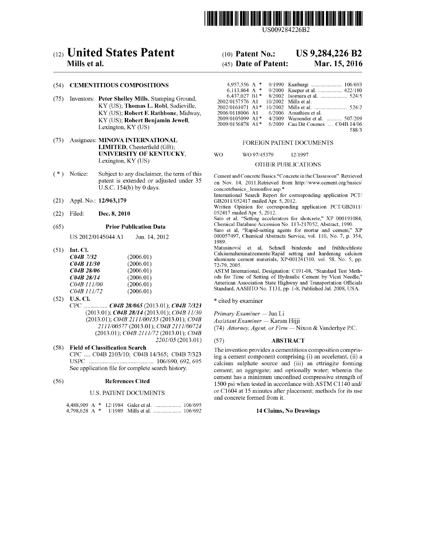

US009284226B2

# c12) **United States Patent**

# **Mills et al.**

#### (54) **CEMENTITIOUS COMPOSITIONS**

- (75) Inventors: **Peter Shelley Mills,** Stamping Ground, KY (US); **Thomas L. Robl,** Sadieville, KY (US); **Robert F. Rathbone,** Midway, KY (US); **Robert Benjamin Jewell,**  Lexington, KY (US)
- (73) Assignees: **MINOVA INTERNATIONAL LIMITED,** Chesterfield (GB); **UNIVERSITY OF KENTUCKY,**  Lexington, KY (US)
- ( \*) Notice: Subject to any disclaimer, the term of this patent is extended or adjusted under 35 U.S.C. 154(b) by 0 days.
- (21) Appl. No.: **12/963,179**
- (22) Filed: **Dec. 8, 2010**

### (65) **Prior Publication Data**

US 2012/0145044 Al Jun. 14, 2012

(51) **Int. Cl.** 

| (2006.01) |
|-----------|
| (2006.01) |
| (2006.01) |
| (2006.01) |
| (2006.01) |
| (2006.01) |
|           |

(52) **U.S. Cl.**  CPC ............... *C04B 281065* (2013.01); *C04B 71323*  (2013.01); *C04B 28114* (2013.01); *C04B 11/30*  (2013.01); *C04B 2111/00155* (2013.01); *C04B 2111/00577* (2013.01); *C04B 2111/00724*  (2013.01); *C04B 2111172* (2013.01); *C04B 2201/05* (2013.01)

(58) **Field of Classification Search**  CPC .... C04B 2103/10; C04B 14/365; C04B 7/323 USPC .......................................... 106/690, 692, 695 See application file for complete search history.

#### (56) **References Cited**

#### U.S. PATENT DOCUMENTS

#### (10) **Patent No.: US 9,284,226 B2**

#### (45) **Date of Patent: Mar.15,2016**

| 4.957.556 A $*$<br>6.113.864 A $*$<br>$6.437.027 B1*$<br>2002/0157576 A1<br>2002/0161071 A1*<br>2006/0118006 A1<br>2009/0105099 A1* | 9/1990 Kunbargi  106/693<br>9/2000 Kueper et al.  422/180<br>$10/2002$ Mills et al.<br>6/2006 Amathieu et al.<br>4/2009 Warrender et al.  507/269 |
|-------------------------------------------------------------------------------------------------------------------------------------|---------------------------------------------------------------------------------------------------------------------------------------------------|
| $2009/0156878$ Al <sup>*</sup>                                                                                                      | 6/2009 Cau Dit Coumes  C04B 14/06<br>588/3                                                                                                        |

#### FOREIGN PATENT DOCUMENTS

#### WO WO 97/45379 12/1997

#### OTHER PUBLICATIONS

Cement and Concrete Basics."Concrete in the Classroom". Retrieved on Nov. 14, 201l.Retrieved from http://www.cement.org/basics/ concretebasics\_lessonfive.asp. \*

International Search Report for corresponding application PCT/ GB20111052417 mailed Apr. 5, 2012.

Written Opinion for corresponding application PCT/GB2011/ 052417 mailed Apr. 5, 2012.

Sato et al, "Setting accelerators for shotcrete," XP 000191084, Chemical Database Accession No. 113-217052, Abstract, 1990.

Sato et al, "Rapid-setting agents for mortar and cement," XP 000057497, Chemical Abstracts Service, vol. 110, No. 7, p. 354, 1989.

Matusinović et al, Schnell bindende and frühhochfeste Calciumaluminatzemente/Rapid setting and hardening calcium aluminate cement materials, XP-001241310, vol. 58, No. 5, pp. 72-79, 2005.

ASTM International, Designation: C191-08, "Standard Test Methods for Time of Setting of Hydraulic Cement by Vicat Needle," American Association State Highway and Transportation Officials Standard, AASHTO No. Tl31, pp. 1-8, Published Jul. 2008, USA.

\* cited by examiner

*Primary Examiner-* Jun Li

*Assistant Examiner-* Karam Hijji

(74) *Attorney, Agent, or Firm-* Nixon & Vanderhye P.C.

#### (57) **ABSTRACT**

The invention provides a cementitious composition comprising a cement component comprising (i) an accelerant, (ii) a calcium sulphate source and (iii) an ettringite forming cement; an aggregate; and optionally water; wherein the cement has a minimum unconfined compressive strength of 1500 psi when tested in accordance withASTM C1140 and/ or C1604 at 15 minutes after placement; methods for its use and concrete formed from it.

#### **14 Claims, No Drawings**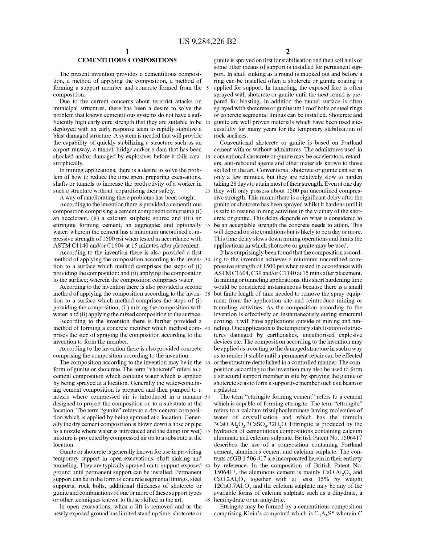### **CEMENTITIOUS COMPOSITIONS**

The present invention provides a cementitious composition, a method of applying the composition, a method of forming a support member and concrete formed from the composition.

Due to the current concerns about terrorist attacks on municipal structures, there has been a desire to solve the problem that known cementitious systems do not have a sufficiently high early cure strength that they are suitable to be 10 deployed with an early response team to rapidly stabilize a blast damaged structure. A system is needed that will provide the capability of quickly stabilizing a structure such as an airport runway, a tunnel, bridge and/or a dam that has been shocked and/or damaged by explosives before it fails cata- 15 strophically.

In mining applications, there is a desire to solve the problem of how to reduce the time spent preparing excavations, shafts or tunnels to increase the productivity of a worker in such a structure without jeopardizing their safety.

A way of ameliorating these problems has been sought.

According to the invention there is provided a cementitious composition comprising a cement component comprising (i) an accelerant, (ii) a calcium sulphate source and (iii) an ettringite forming cement; an aggregate; and optionally 25 water; wherein the cement has a minimum unconfined compressive strength of 1500 psi when tested in accordance with ASTM C1140 and/or C1604 at 15 minutes after placement.

According to the invention there is also provided a first method of applying the composition according to the inven- <sup>30</sup> tion to a surface which method comprises the steps of (i) providing the composition; and (ii) applying the composition to the surface; wherein the composition comprises water.

According to the invention there is also provided a second method of applying the composition according to the inven- <sup>35</sup> tion to a surface which method comprises the steps of (i) providing the composition; (ii) mixing the composition with water; and (ii) applying the mixed composition to the surface.

According to the invention there is further provided a method of forming a concrete member which method com- <sup>40</sup> prises the step of spraying the composition according to the invention to form the member.

According to the invention there is also provided concrete comprising the composition according to the invention.

The composition according to the invention may be in the 45 form of gunite or shotcrete. The term "shotcrete" refers to a cement composition which contains water which is applied by being sprayed at a location. Generally the water-containing cement composition is prepared and then pumped to a nozzle where compressed air is introduced in a manner 50 designed to project the composition on to a substrate at the location. The term "gunite" refers to a dry cement composition which is applied by being sprayed at a location. Generally the dry cement composition is blown down a hose or pipe to a nozzle where water is introduced and the damp (or wet) 55 mixture is projected by compressed air on to a substrate at the location.

Gunite or shotcrete is generally known for use in providing temporary support in open excavations, shaft sinking and tunneling. They are typically sprayed on to support exposed 60 ground until permanent support can be installed. Permanent support can be in the form of concrete segmental linings, steel supports, rock bolts, additional thickness of shotcrete or gunite and combinations of one or more of these support types or other techniques known to those skilled in the art. 65 hemihydrate or an anhydrite.

In open excavations, when a lift is removed and as the newly exposed ground has limited stand up time, shotcrete or gnnite is sprayed on first for stabilisation and then soil nails or some other means of support is installed for permanent support. In shaft sinking as a round is mucked out and before a ring can be installed often a shotcrete or gunite coating is applied for support. In turmeling, the exposed face is often sprayed with shotcrete or gunite until the next round is prepared for blasting. In addition the tunnel surface is often sprayed with shotcrete or gunite until roof bolts or steel rings or concrete segmental linings can be installed. Shotcrete and gunite are well proven materials which have been used successfully for many years for the temporary stabilisation of rock surfaces.

Conventional shotcrete or gunite is based on Portland cement with or without admixtures. The admixtures used in conventional shotcrete or gunite may be accelerators, retarders, anti-rebound agents and other materials known to those skilled in the art. Conventional shotcrete or gunite can set in only a few minutes, but they are relatively slow to harden taking 28 days to attain most of their strength. Even at one day 20 they will only possess about 1500 psi unconfined compressive strength. This means there is a significant delay after the gunite or shotcrete has been sprayed whilst it hardens until it is safe to resume mining activities in the vicinity of the shotcrete or gnnite. This delay depends on what is considered to be an acceptable strength the concrete needs to attain. This will depend on site conditions but is likely to be a day or more. This time delay slows down mining operations and limits the applications in which shotcrete or gunite may be used.

It has surprisingly been found that the composition according to the invention achieves a minimum unconfined compressive strength of 1500 psi when tested in accordance with ASTM C1604, C39 and/or C1140 at 15 mins after placement. In mining or turmeling applications, this short hardening time would be considered instantaneous because there is a small but finite length of time needed to remove the spray equipment from the application site and reintroduce mining or tunneling activities. As the composition according to the invention is effectively an instantaneously curing structural coating, it will have applications outside of mining and tunneling. One application is the temporary stabilisation of structures damaged by earthquakes, unauthorised explosive devices etc. The composition according to the invention may be applied as a coating to the damaged structure in such a way as to render it stable until a permanent repair can be effected or the structure demolished in a controlled marmer. The composition according to the invention may also be used to form a structural support member in situ by spraying the gunite or shotcrete so as to form a supportive member such as a beam or a pilaster.

The term "ettringite forming cement" refers to a cement which is capable of forming ettringite. The term "ettringite" refers to a calcium trisulphoaluminate having molecules of water of crystallisation and which has the formula  $3CaO.A1<sub>2</sub>O<sub>3</sub>.3CaSO<sub>4</sub>.32H<sub>2</sub>O.$  Ettringite is produced by the hydration of cementitious compositions containing calcium aluminate and calcium sulphate. British Patent No. 1506417 describes the use of a composition containing Portland cement, aluminous cement and calcium sulphate. The contents ofGB 1 506 417 are incorporated herein in their entirety by reference. In the composition of British Patent No. 1506417, the aluminous cement is mainly  $CaO<sub>3</sub>O<sub>3</sub>$  and  $CaO.2Al<sub>2</sub>O<sub>3</sub>$  together with at least 15% by weight  $12CaO.7Al<sub>2</sub>O<sub>3</sub>$  and the calcium sulphate may be any of the available forms of calcium sulphate such as a dihydrate, a

Ettringite may be formed by a cementitious composition comprising Klein's compound which is  $C_4A_3S^*$  wherein C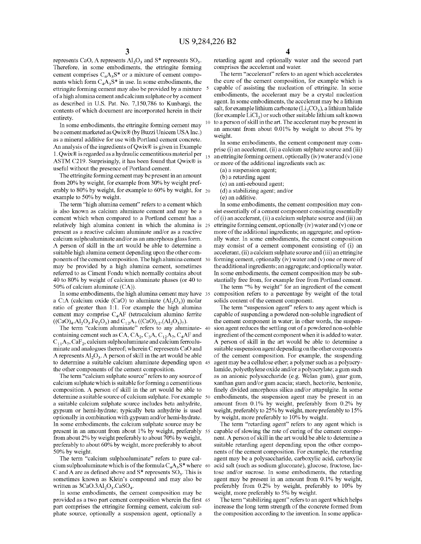represents CaO, A represents  $Al_2O_3$  and S\* represents SO<sub>3</sub>. Therefore, in some embodiments, the ettringite forming cement comprises  $C_4A_3S^*$  or a mixture of cement components which form  $C_4A_3S^*$  in use. In some embodiments, the ettringite forming cement may also be provided by a mixture of a high alumina cement and calcium sulphate or by a cement as described in U.S. Pat. No. 7,150,786 to Kunbargi, the contents of which document are incorporated herein in their entirety.

In some embodiments, the ettringite forming cement may be a cement marketed as Qwix® (by Buzzi Unicem USA Inc.) as a mineral additive for use with Portland cement concrete. An analysis of the ingredients of Qwix® is given in Example 1. Qwix® is regarded as a hydraulic cementitious material per  $_{15}$ ASTM C219. Surprisingly, it has been found that  $Qw\text{i}x\text{ }x$  is useful without the presence of Portland cement.

The ettringite forming cement may be present in an amount from 20% by weight, for example from 30% by weight preferably to 80% by weight, for example to 60% by weight, for  $_{20}$ example to 50% by weight.

The term "high alumina cement" refers to a cement which is also known as calcium aluminate cement and may be a cement which when compared to a Portland cement has a relatively high alumina content in which the alumina is present as a reactive calcium aluminate and/or as a reactive calcium sulphoaluminate and/or as an amorphous glass form. A person of skill in the art would be able to determine a suitable high alumina cement depending upon the other components of the cement composition. The high alumina cement may be provided by a high alumina cement, sometimes referred to as Ciment Fondu which normally contains about 40 to 80% by weight of calcium aluminate phases (or 40 to 50% of calcium aluminate (CA)).

In some embodiments, the high alumina cement may have 35 a C:A (calcium oxide (CaO) to aluminate  $(A1<sub>2</sub>O<sub>3</sub>)$ ) molar ratio of greater than 1:1. For example the high alumina cement may comprise C4AF (tetracalcium alumino ferrite  $((CaO)<sub>4</sub>. Al<sub>2</sub>O<sub>3</sub>.Fe<sub>2</sub>O<sub>3</sub>)$  and  $C<sub>12</sub>A<sub>7</sub> ((CaO)<sub>12</sub>. (Al<sub>2</sub>O<sub>3</sub>)<sub>7</sub>).$ 

The term "calcium aluminate" refers to any aluminate- 40 containing cement such as CA,  $CA_2$ ,  $C_3A$ ,  $C_{12}A_7$ ,  $C_4AF$  and  $C_{11}A_{7}$ , CaF<sub>2</sub>, calcium sulphoaluminate and calcium ferroaluminate and analogues thereof; wherein C represents CaO and A represents  $Al_2O_3$ . A person of skill in the art would be able to determine a suitable calcium aluminate depending upon the other components of the cement composition.

The term "calcium sulphate source" refers to any source of calcium sulphate which is suitable for forming a cementitious composition. A person of skill in the art would be able to determine a suitable source of calcium sulphate. For example 50 a suitable calcium sulphate source includes beta anhydrite, gypsum or hemi-hydrate; typically beta anhydrite is used optionally in combination with gypsum and/or hemi-hydrate. In some embodiments, the calcium sulphate source may be present in an amount from about 1% by weight, preferably from about 2% by weight preferably to about 70% by weight, preferably to about 60% by weight, more preferably to about 50% by weight.

The term "calcium sulphoaluminate" refers to pure calcium sulphoaluminate which is of the formula  $C_4A_3S^*$  where 60 C and A are as defined above and  $S^*$  represents  $SO_3$ . This is sometimes known as Klein's compound and may also be written as  $3CaO.3Al<sub>2</sub>O<sub>3</sub> CaSO<sub>4</sub>$ .

In some embodiments, the cement composition may be provided as a two part cement composition wherein the first 65 part comprises the ettringite forming cement, calcium sulphate source, optionally a suspension agent, optionally a

4

retarding agent and optionally water and the second part comprises the accelerant and water.

The term "accelerant" refers to an agent which accelerates the cure of the cement composition, for example which is capable of assisting the nucleation of ettringite. In some embodiments, the accelerant may be a crystal nucleation agent. In some embodiments, the accelerant may be a lithium salt, for example lithium carbonate  $(Li_2CO_3)$ , a lithium halide (for example  $LiCl<sub>2</sub>$ ) or such other suitable lithium salt known 10 to a person of skill in the art. The accelerant may be present in

an amount from about 0.01% by weight to about 5% by weight.

In some embodiments, the cement component may comprise (i) an accelerant, (ii) a calcium sulphate source and (iii) an ettringite forming cement, optionally (iv) water and  $(v)$  one or more of the additional ingredients such as:

(a) a suspension agent;

(b) a retarding agent

(c) an anti-rebound agent;

(d) a stabilizing agent; and/or

(e) an additive.

In some embodiments, the cement composition may consist essentially of a cement component consisting essentially of (i) an accelerant, (ii) a calcium sulphate source and (iii) an ettringite forming cement, optionally (iv) water and  $(v)$  one or more of the additional ingredients; an aggregate; and optionally water. In some embodiments, the cement composition may consist of a cement component consisting of (i) an accelerant, (ii) a calcium sulphate source and (iii) an ettringite forming cement, optionally (iv) water and  $(v)$  one or more of the additional ingredients; an aggregate; and optionally water. In some embodiments, the cement composition may be substantially free from, for example free from Portland cement.

The term "% by weight" for an ingredient of the cement composition refers to a percentage by weight of the total solids content of the cement component.

The term "suspension agent" refers to any agent which is capable of suspending a powdered non-soluble ingredient of the cement component in water; in other words, the suspension agent reduces the settling out of a powdered non-soluble ingredient of the cement component when it is added to water. A person of skill in the art would be able to determine a suitable suspension agent depending on the other components of the cement composition. For example, the suspending agent may be a cellulose ether; a polymer such as a polyacrylamide, polyethylene oxide and/or a polyacrylate; a gum such as an anionic polysaccharide (e.g. Welan gum), guar gum, xanthan gum and/or gum acacia; starch, hectorite, bentonite, finely divided amorphous silica and/or attapulgite. In some embodiments, the suspension agent may be present in an amount from 0.1% by weight, preferably from 0.2% by weight, preferably to 25% by weight, more preferably to 15% by weight, more preferably to 10% by weight.

The term "retarding agent" refers to any agent which is capable of slowing the rate of curing of the cement component. A person of skill in the art would be able to determine a suitable retarding agent depending upon the other components of the cement composition. For example, the retarding agent may be a polysaccharide, carboxylic acid, carboxylic acid salt (such as sodium gluconate), glucose, fructose, lactose and/or sucrose. In some embodiments, the retarding agent may be present in an amount from 0.1% by weight, preferably from 0.2% by weight, preferably to 10% by weight, more preferably to 5% by weight.

The term "stabilizing agent" refers to an agent which helps increase the long term strength of the concrete formed from the composition according to the invention. In some applica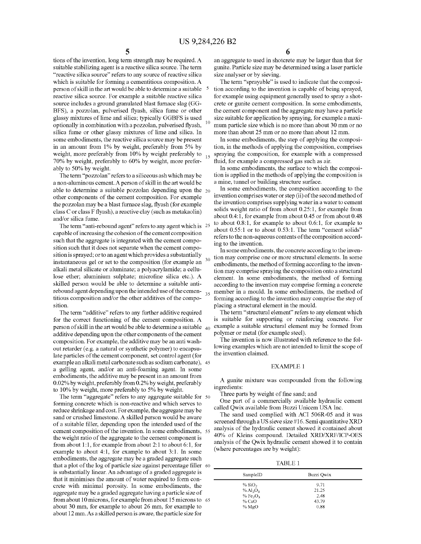tions of the invention, long term strength may be required. A suitable stabilizing agent is a reactive silica source. The term "reactive silica source" refers to any source of reactive silica which is suitable for forming a cementitious composition. A person of skill in the art would be able to determine a suitable reactive silica source. For example a suitable reactive silica source includes a ground granulated blast furnace slag (GG-BFS), a pozzolan, pulverised flyash, silica fume or other glassy mixtures of lime and silica; typically GGBFS is used optionally in combination with a pozzolan, pulverised flyash, silica fume or other glassy mixtures of lime and silica. In some embodiments, the reactive silica source may be present in an amount from 1% by weight, preferably from 5% by weight, more preferably from 10% by weight preferably to  $_{15}$ 70% by weight, preferably to 60% by weight, more preferably to 50% by weight.

The term "pozzolan" refers to a siliceous ash which may be a non-aluminous cement. A person of skill in the art would be able to determine a suitable pozzolan depending upon the  $_{20}$ other components of the cement composition. For example the pozzolan may be a blast furnace slag, flyash (for example class Cor class F flyash), a reactive clay (such as metakaolin) and/or silica fume.

The term "anti-rebound agent" refers to any agent which is <sup>25</sup> capable of increasing the cohesion of the cement composition such that the aggregate is integrated with the cement composition such that it does not separate when the cement composition is sprayed; or to an agent which provides a substantially instantaneous gel or set to the composition (for example an alkali metal silicate or aluminate; a polyacrylamide; a cellulose ether; aluminium sulphate; microfine silica etc.). A skilled person would be able to determine a suitable antirebound agent depending upon the intended use of the cemen- $\frac{35}{35}$ titious composition and/or the other additives of the composition.

The term "additive" refers to any further additive required for the correct functioning of the cement composition. A person of skill in the art would be able to determine a suitable  $_{40}$ additive depending upon the other components of the cement composition. For example, the additive may be an anti washout retarder (e.g. a natural or synthetic polymer) to encapsulate particles of the cement component, set control agent (for example an alkali metal carbonate such as sodium carbonate), 45 a gelling agent, and/or an anti-foaming agent. In some embodiments, the additive may be present in an amount from 0.02% by weight, preferably from 0.2% by weight, preferably to 10% by weight, more preferably to 5% by weight.

The term "aggregate" refers to any aggregate suitable for 50 forming concrete which is non-reactive and which serves to reduce shrinkage and cost. For example, the aggregate may be sand or crushed limestone. A skilled person would be aware of a suitable filler, depending upon the intended used of the cement composition of the invention. In some embodiments, 55 the weight ratio of the aggregate to the cement component is from about 1:1, for example from about 2:1 to about 6:1, for example to about 4:1, for example to about 3:1. In some embodiments, the aggregate may be a graded aggregate such that a plot of the log of particle size against percentage filler 60 is substantially linear. An advantage of a graded aggregate is that it minimises the amount of water required to form concrete with minimal porosity. In some embodiments, the aggregate may be a graded aggregate having a particle size of from about 10 microns, for example from about 15 microns to 65 about 30 mm, for example to about 26 mm, for example to about 12 mm. As a skilled person is aware, the particle size for

5  $\frac{6}{\text{cm}}$  strength may be required. A an aggregate to used in shotcrete may be larger than that for gunite. Particle size may be determined using a laser particle size analyser or by sieving.

> The term "sprayable" is used to indicate that the composition according to the invention is capable of being sprayed, for example using equipment generally used to spray a shotcrete or gunite cement composition. In some embodiments, the cement component and the aggregate may have a particle size suitable for application by spraying, for example a maxi-<br>mum particle size which is no more than about 30 mm or no more than about 25 mm or no more than about 12 mm.

> In some embodiments, the step of applying the composition, in the methods of applying the composition, comprises spraying the composition, for example with a compressed fluid, for example a compressed gas such as air.

> In some embodiments, the surface to which the composition is applied in the methods of applying the composition is a mine, tunnel or building structure surface.

> In some embodiments, the composition according to the invention comprises water or step (ii) of the second method of the invention comprises supplying water in a water to cement solids weight ratio of from about 0.25:1, for example from about 0.4: 1, for example from about 0.45 or from about 0.48 to about 0.8:1, for example to about 0.6:1, for example to about 0.55:1 or to about 0.53:1. The term "cement solids" refers to the non-aqueous contents of the composition according to the invention.

> In some embodiments, the concrete according to the invention may comprise one or more structural elements. In some embodiments, the method of forming according to the invention may comprise spraying the composition onto a structural element. In some embodiments, the method of forming according to the invention may comprise forming a concrete member in a mould. In some embodiments, the method of forming according to the invention may comprise the step of placing a structural element in the mould.

> The term "structural element" refers to any element which is suitable for supporting or reinforcing concrete. For example a suitable structural element may be formed from polymer or metal (for example steel).

> The invention is now illustrated with reference to the following examples which are not intended to limit the scope of the invention claimed.

#### EXAMPLE 1

A gunite mixture was compounded from the following ingredients:

Three parts by weight of fine sand; and

One part of a commercially available hydraulic cement called Qwix available from Buzzi Unicem USA Inc.

The sand used complied with ACI 506R-05 and it was screened through a US sieve size #16. Semi quantitative XRD analysis of the hydraulic cement showed it contained about 40% of Kleins compound. Detailed XRD/XRF/ICP-OES analysis of the Qwix hydraulic cement showed it to contain (where percentages are by weight):

TABLE 1

| SampleID                           | Buzzi Owix |
|------------------------------------|------------|
| % SiO <sub>2</sub>                 | 9.71       |
| $%$ Al <sub>2</sub> O <sub>3</sub> | 21.25      |
| %Fe <sub>2</sub> O <sub>3</sub>    | 2.48       |
| % CaO                              | 43.79      |
| $%$ MgO                            | 0.88       |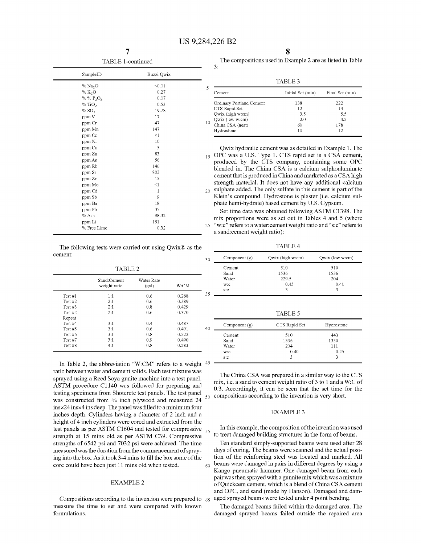30

7 TABLE 1-continued

|                     | 11 11 11 11 - Continued |    |
|---------------------|-------------------------|----|
| SampleID            | Buzzi Qwix              |    |
| % Na <sub>2</sub> O | < 0.01                  | 5  |
| % $K_2O$            | 0.27                    |    |
| % % $P_2O_5$        | 0.07                    |    |
| % TiO <sub>2</sub>  | 0.53                    |    |
| % SO <sub>3</sub>   | 19.78                   |    |
| ppm V               | 17                      |    |
| ppm Cr              | 47                      | 10 |
| ppm Mn              | 147                     |    |
| ppm Co              | $\leq$ 1                |    |
| ppm Ni              | 10                      |    |
| ppm Cu              | 5                       |    |
| ppm Zn              | 83                      | 15 |
| ppm As              | 56                      |    |
| ppm Rb              | 146                     |    |
| ppm Sr              | 803                     |    |
| ppm Zr              | 15                      |    |
| ppm Mo              | $\leq$ 1                |    |
| ppm Cd              | $\mathbf{1}$            | 20 |
| ppm Sb              | 9                       |    |
| ppm Ba              | 18                      |    |
| ppm Pb              | 35                      |    |
| % Ash               | 98.32                   |    |
| ppm Li              | 151                     |    |
| % Free Lime         | 0.32                    | 25 |
|                     |                         |    |

The following tests were carried out using Qwix® as the cement:

TABLE2

|           | Sand:Cement<br>weight ratio | Water Rate<br>(gal) | W.CM  |    |
|-----------|-----------------------------|---------------------|-------|----|
| Test #1   | 1:1                         | 0.6                 | 0.288 | 35 |
| Test $#2$ | 2:1                         | 0.6                 | 0.389 |    |
| Test $#3$ | 2:1                         | 0.8                 | 0.429 |    |
| Test $#2$ | 2:1                         | 0.6                 | 0.370 |    |
| Repeat    |                             |                     |       |    |
| Test #4   | 3:1                         | 0.4                 | 0.487 |    |
| Test $#5$ | 3:1                         | 0.6                 | 0.491 | 40 |
| Test #6   | 3:1                         | 0.8                 | 0.522 |    |
| Test $#7$ | 3:1                         | 0.9                 | 0.490 |    |
| Test #8   | 4:1                         | 0.8                 | 0.583 |    |

In Table 2, the abbreviation "W:CM" refers to a weight 45 ratio between water and cement solids. Each test mixture was sprayed using a Reed Soya gunite machine into a test panel. ASTM procedure C1140 was followed for preparing and testing specimens from Shotcrete test panels. The test panel was constructed from  $\frac{3}{4}$  inch plywood and measured 24 insx24 insx4 ins deep. The panel was filled to a minimum four inches depth. Cylinders having a diameter of 2 inch and a height of 4 inch cylinders were cored and extracted from the test panels as per ASTM C1604 and tested for compressive  $_{55}$ strength at 15 mins old as per ASTM C39. Compressive strengths of 6542 psi and 7032 psi were achieved. The time measured was the duration from the commencement of spraying into the box. As it took 3-4 mins to fill the box some of the

Compositions according to the invention were prepared to  $65$ measure the time to set and were compared with known formulations.

The compositions used in Example 2 are as listed in Table 3:

TABLE3

| Cement                   | Initial Set (min) | Final Set (min) |
|--------------------------|-------------------|-----------------|
| Ordinary Portland Cement | 138               | 222             |
| CTS Rapid Set            | 12                | 14              |
| Qwix (high w:cm)         | 3.5               | 5.5             |
| Qwix (low w:cm)          | 2.0               | 4.5             |
| 10<br>China CSA (neat)   | 60                | 178             |
| Hydrostone               | 10                | 12              |

Qwix hydraulic cement was as detailed in Example 1. The 15 OPC was a U.S. Type 1. CTS rapid set is a CSA cement, produced by the CTS company, containing some OPC blended in. The China CSA is a calcium sulphoaluminate cement that is produced in China and marketed as a CSA high strength material. It does not have any additional calcium 20 sulphate added. The only sulfate in this cement is part of the Klein's compound. Hydrostone is plaster (i.e. calcium sulphate hemi-hydrate) based cement by U.S. Gypsum.

Set time data was obtained following ASTM C1398. The mix proportions were as set out in Tables 4 and 5 (where 25 "w:c" refers to a water: cement weight ratio and "s:c" refers to a sand: cement weight ratio):

TABLE4

| Component $(g)$ | Qwix (high w:cm) | Qwix (low w:cm) |
|-----------------|------------------|-----------------|
| Cement          | 510              | 510             |
| Sand            | 1536             | 1536            |
| Water           | 229.5            | 204             |
| w:c             | 0.45             | 0.40            |
| S.C             |                  |                 |

**TABLE 5** 

| 40         | Component $(g)$ | CTS Rapid Set | Hydrostone |  |
|------------|-----------------|---------------|------------|--|
|            | Cement          | 510           | 443        |  |
|            | Sand            | 1536          | 1330       |  |
|            | Water           | 204           | 111        |  |
|            | w:c             | 0.40          | 0.25       |  |
| $\sqrt{5}$ | S: C            | ٦             | ٩          |  |

The China CSA was prepared in a similar way to the CTS mix, i.e. a sand to cement weight ratio of3 to 1 and a W:C of 0.3. Accordingly, it can be seen that the set time for the compositions according to the invention is very short.

#### EXAMPLE3

In this example, the composition of the invention was used to treat damaged building structures in the form of beams.

Ten standard simply-supported beams were used after 28 days of curing. The beams were scanned and the actual position of the reinforcing steel was located and marked. All core could have been just 11 mins old when tested.  $60$  beams were damaged in pairs in different degrees by using a Kango pneumatic hammer. One damaged beam from each pair was then sprayed with a gunnite mix which was a mixture EXAMPLE 2 of Quickcem cement, which is a blend of China CSA cement and OPC, and sand (made by Hanson). Damaged and damaged sprayed beams were tested under 4 point bending.

> The damaged beams failed within the damaged area. The damaged sprayed beams failed outside the repaired area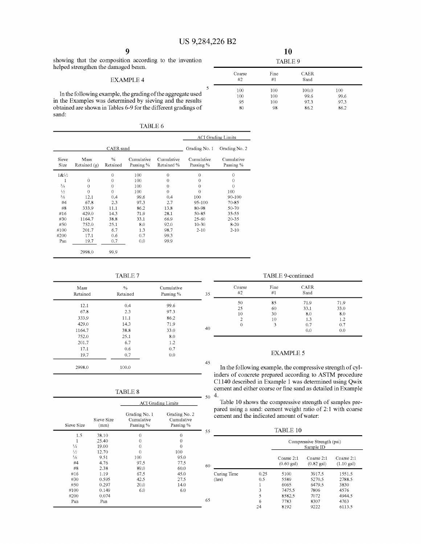showing that the composition according to the invention helped strengthen the damaged beam.

#### EXAMPLE 4

In the following example, the grading of the aggregate used in the Examples was determined by sieving and the results obtained are shown in Tables 6-9 for the different gradings of sand:

| L<br>Π |
|--------|
|--------|

|               |                        |                           |                         |                          |                         | <b>ACI</b> Grading Limits |
|---------------|------------------------|---------------------------|-------------------------|--------------------------|-------------------------|---------------------------|
|               |                        | CAER sand                 |                         |                          | Grading No. 1           | Grading No. 2             |
| Sieve<br>Size | Mass<br>Retained $(g)$ | $\frac{0}{0}$<br>Retained | Cumulative<br>Passing % | Cumulative<br>Retained % | Cumulative<br>Passing % | Cumulative<br>Passing %   |
| 18/2          |                        | $\theta$                  | 100                     | $\theta$                 | $\theta$                | $\theta$                  |
| 1             | $\theta$               | $\theta$                  | 100                     | 0                        | 0                       | 0                         |
| $^{3}/_{4}$   | $\Omega$               | $\boldsymbol{0}$          | 100                     | $\mathbf 0$              | 0                       | $\theta$                  |
| $\frac{1}{2}$ | $\Omega$               | $\theta$                  | 100                     | $\Omega$                 | 0                       | 100                       |
| $\frac{3}{8}$ | 12.1                   | 0.4                       | 99.6                    | 0.4                      | 100                     | 90-100                    |
| #4            | 67.8                   | 2.3                       | 97.3                    | 2.7                      | 95-100                  | 70-85                     |
| #8            | 333.9                  | 11.1                      | 86.2                    | 13.8                     | 80-98                   | 50-70                     |
| #16           | 429.0                  | 14.3                      | 71.9                    | 28.1                     | 50-85                   | 35-55                     |
| #30           | 1164.7                 | 38.8                      | 33.1                    | 66.9                     | $25 - 60$               | $20 - 35$                 |
| #50           | 752.0                  | 25.1                      | 8.0                     | 92.0                     | $10 - 30$               | $8 - 20$                  |
| #100          | 201.7                  | 6.7                       | 1.3                     | 98.7                     | $2 - 10$                | $2 - 10$                  |
| #200          | 17.1                   | 0.6                       | 0.7                     | 99.3                     |                         |                           |
| Pan           | 19.7                   | 0.7                       | 0.0                     | 99.9                     |                         |                           |
|               | 2998.0                 | 99.9                      |                         |                          |                         |                           |

TABLE 7

| Mass<br>Retained | $\%$<br>Retained | Cumulative<br>Passing % | 35 |
|------------------|------------------|-------------------------|----|
| 12.1             | 0.4              | 99.6                    |    |
| 67.8             | 2.3              | 97.3                    |    |
| 333.9            | 11.1             | 86.2                    |    |
| 429.0            | 14.3             | 71.9                    |    |
| 1164.7           | 388              | 33.0                    | 40 |
| 752.0            | 25.1             | 8.0                     |    |
| 201.7            | 6.7              | 1.2                     |    |
| 17.1             | 0.6              | 0.7                     |    |
| 19.7             | 0.7              | 0.0                     |    |
| 2998.0           | 100.0            |                         | 45 |

| TABLE. | x |
|--------|---|
|--------|---|

|               |                    | <b>ACI</b> Grading Limits                |                                          |    |
|---------------|--------------------|------------------------------------------|------------------------------------------|----|
| Sieve Size    | Sieve Size<br>(mm) | Grading No. 1<br>Cumulative<br>Passing % | Grading No. 2<br>Cumulative<br>Passing % |    |
| 1.5           | 38.10              | 0                                        | 0                                        | 55 |
|               | 25.40              | 0                                        | 0                                        |    |
| $^{3}/_{4}$   | 19.00              | 0                                        | 0                                        |    |
| $\frac{1}{2}$ | 12.70              | 0                                        | 100                                      |    |
| $\frac{3}{8}$ | 9.51               | 100                                      | 95.0                                     |    |
| #4            | 4.76               | 97.5                                     | 77.5                                     |    |
| #8            | 2.38               | 89.0                                     | 60.0                                     | 60 |
| #16           | 1.19               | 67.5                                     | 45.0                                     |    |
| #30           | 0.595              | 42.5                                     | 27.5                                     |    |
| #50           | 0.297              | 20.0                                     | 14.0                                     |    |
| #100          | 0.149              | 6.0                                      | 6.0                                      |    |
| #200          | 0.074              |                                          |                                          |    |
| Pan           | Pan                |                                          |                                          | 65 |

| я<br>∽ |  |
|--------|--|

| Coarse<br>#2 | Fine<br>#1 | <b>CAER</b><br>Sand |      |  |
|--------------|------------|---------------------|------|--|
| 100          | 100        | 100.0               | 100  |  |
| 100          | 100        | 99.6                | 99.6 |  |
| 95           | 100        | 97.3                | 97.3 |  |
| 80           | 98         | 862                 | 86.2 |  |

TABLE 9-continued

| 35 | Coarse<br>#2   | Fine<br>#1 | <b>CAER</b><br>Sand |      |
|----|----------------|------------|---------------------|------|
|    | 50             | 85         | 71.9                | 71.9 |
|    | 25             | 60         | 33.1                | 33.0 |
|    | 10             | 30         | 8.0                 | 8.0  |
|    | $\mathfrak{D}$ | 10         | 1.3                 | 1.2  |
|    | 0              | 3          | 0.7                 | 0.7  |
| 40 |                |            | 0.0                 | 0.0  |

### EXAMPLE 5

In the following example, the compressive strength of cylinders of concrete prepared according to ASTM procedure C1140 described in Example 1 was determined using Qwix cement and either coarse or fine sand as detailed in Example  $50\,$  4.

Table 10 shows the compressive strength of samples prepared using a sand: cement weight ratio of 2:1 with coarse cement and the indicated amount of water:

TABLE 10

|    |             |      | Compressive Strength (psi)<br>Sample ID |                                    |                                    |  |
|----|-------------|------|-----------------------------------------|------------------------------------|------------------------------------|--|
| 60 |             |      | Coarse 2:1<br>$(0.60 \text{ gal})$      | Coarse 2:1<br>$(0.82 \text{ gal})$ | Coarse 2:1<br>$(1.10 \text{ gal})$ |  |
|    | Curing Time | 0.25 | 5100                                    | 3917.5                             | 1551.5                             |  |
|    | (hrs)       | 0.5  | 5589                                    | 5270.5                             | 2788.5                             |  |
|    |             | 1    | 6065                                    | 6479.5                             | 3830                               |  |
|    |             | 3    | 7475.5                                  | 7806                               | 4576                               |  |
|    |             | 5    | 8582.5                                  | 7072                               | 4944.5                             |  |
| 65 |             | 6    | 7783                                    | 8307                               | 4763                               |  |
|    |             | 24   | 8192                                    | 9222                               | 6113.5                             |  |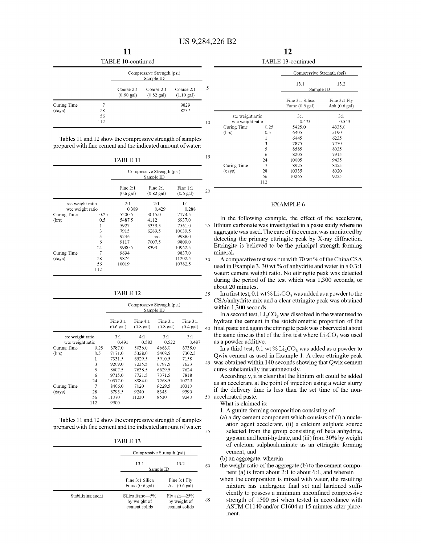10

5

15

|                       |                 | TABLE 10-continued                 |                                         |                                    |  |
|-----------------------|-----------------|------------------------------------|-----------------------------------------|------------------------------------|--|
|                       |                 |                                    | Compressive Strength (psi)<br>Sample ID |                                    |  |
|                       |                 | Coarse 2:1<br>$(0.60 \text{ gal})$ | Coarse 2:1<br>$(0.82 \text{ gal})$      | Coarse 2:1<br>$(1.10 \text{ gal})$ |  |
| Curing Time<br>(days) | 28<br>56<br>112 |                                    |                                         | 9829<br>8237                       |  |

Tables 11 and 12 show the compressive strength of samples prepared with fine cement and the indicated amount of water:

# TABLE 11

|                  |      | Compressive Strength (psi)<br>Sample ID |                                    |                                   |    |
|------------------|------|-----------------------------------------|------------------------------------|-----------------------------------|----|
|                  |      | Fine $2:1$<br>$(0.6 \text{ gal})$       | Fine $2:1$<br>$(0.82 \text{ gal})$ | Fine $1:1$<br>$(0.6 \text{ gal})$ | 20 |
| s:c weight ratio |      | 2:1                                     | 2:1                                | 1:1                               |    |
| w:c weight ratio |      | 0.389                                   | 0.429                              | 0.288                             |    |
| Curing Time      | 0.25 | 5200.5                                  | 3015.0                             | 7174.5                            |    |
| (hrs)            | 0.5  | 5487.5                                  | 4112                               | 6937.0                            |    |
|                  | 1    | 5927                                    | 5339.5                             | 7561.0                            | 25 |
|                  | 3    | 7915                                    | 6289.5                             | 10039.5                           |    |
|                  | 5    | 9246                                    | n/d                                | 9988.0                            |    |
|                  | 6    | 9117                                    | 7007.5                             | 9809.0                            |    |
|                  | 24   | 9980.5                                  | 8393                               | 10962.5                           |    |
| Curing Time      | 7    | 9694                                    |                                    | 9837.0                            |    |
| (days)           | 28   | 9876                                    |                                    | 11202.5                           | 30 |
|                  | 56   | 10019                                   |                                    | 10782.5                           |    |
|                  | 112  |                                         |                                    |                                   |    |

#### TABLE 12

|                  |      | Compressive Strength (psi)<br>Sample ID |                            |                            |                                 |  |
|------------------|------|-----------------------------------------|----------------------------|----------------------------|---------------------------------|--|
|                  |      | Fine $3:1$<br>$(0.6 \text{ gal})$       | Fine 4:1<br>$(0.8$ gal $)$ | Fine 3:1<br>$(0.8$ gal $)$ | Time 3:1<br>$(0.4 \text{ gal})$ |  |
| s:c weight ratio |      | 3:1                                     | 4:1                        | 3:1                        | 3:1                             |  |
| w:c weight ratio |      | 0.491                                   | 0.583                      | 0.522                      | 0.487                           |  |
| Curing Time      | 0.25 | 6787.0                                  | 5036.0                     | 4666.0                     | 6738.0                          |  |
| (hrs)            | 0.5  | 7171.0                                  | 5328.0                     | 5408.5                     | 7302.5                          |  |
|                  | 1    | 7331.5                                  | 6529.5                     | 5910.5                     | 7158                            |  |
|                  | 3    | 9209.0                                  | 7235.5                     | 6797.5                     | 7623                            |  |
|                  | 5    | 8607.5                                  | 7638.5                     | 6629.5                     | 7624                            |  |
|                  | 6    | 9715.0                                  | 7721.5                     | 7371.5                     | 7818                            |  |
|                  | 24   | 10577.0                                 | 8984.0                     | 7268.5                     | 10229                           |  |
| Curing Time      | 7    | 8406.0                                  | 7020                       | 9229.5                     | 10310                           |  |
| (days)           | 28   | 6795.5                                  | 9240                       | 8345                       | 9390                            |  |
|                  | 56   | 11070                                   | 11230                      | 8530                       | 9240                            |  |
|                  | 112  | 9900                                    |                            |                            |                                 |  |

Tables 11 and 12 show the compressive strength of samples prepared with fine cement and the indicated amount of water:

| ۱ı<br>r |  |
|---------|--|
|---------|--|

|                   | .                                               |                                                   |    |
|-------------------|-------------------------------------------------|---------------------------------------------------|----|
|                   | Compressive Strength (psi)                      |                                                   |    |
|                   | 13.1<br>Sample ID                               | 13.2                                              | 60 |
|                   | Fine 3:1 Silica<br>Fume $(0.6 \text{ gal})$     | Fine 3:1 Fly<br>Ash $(0.6 \text{ gal})$           |    |
| Stabilizing agent | Silica fume-5%<br>by weight of<br>cement solids | $Fly$ ash $-25%$<br>by weight of<br>cement solids | 65 |

|                  |      | Compressive Strength (psi)                  |                                    |  |
|------------------|------|---------------------------------------------|------------------------------------|--|
|                  |      | 13.1<br>13.2<br>Sample ID                   |                                    |  |
|                  |      | Fine 3:1 Silica<br>Fume $(0.6 \text{ gal})$ | Fine 3:1 Fly<br>Ash $(0.6$ gal $)$ |  |
| s:c weight ratio |      | 3:1                                         | 3:1                                |  |
| w:c weight ratio |      | 0.473                                       | 0.543                              |  |
| Curing Time      | 0.25 | 5425.0                                      | 4335.0                             |  |
| (hrs)            | 0.5  | 6405                                        | 5190                               |  |
|                  | 1    | 6445                                        | 6235                               |  |
|                  | 3    | 7875                                        | 7250                               |  |
|                  | 5    | 8585                                        | 8035                               |  |
|                  | 6    | 8205                                        | 7915                               |  |
|                  | 24   | 10005                                       | 9435                               |  |
| Curing Time      | 7    | 8925                                        | 8455                               |  |
| (days)           | 28   | 10335                                       | 8020                               |  |
|                  | 56   | 10265                                       | 9235                               |  |
|                  | 112  |                                             |                                    |  |

#### EXAMPLE 6

In the following example, the effect of the accelerant, 25 lithium carbonate was investigated in a paste study where no aggregate was used. The cure of the cement was monitored by detecting the primary ettringite peak by X-ray diffraction. Ettringite is believed to be the principal strength forming mineral.

30 A comparative test was run with 70 wt% of the China CSA used in Example 3, 30 wt % of anhydrite and water in a 0.3:1 water: cement weight ratio. No ettringite peak was detected during the period of the test which was 1,300 seconds, or about 20 minutes.

35 In a first test,  $0.1 \text{ wt} \% \text{Li}_2\text{CO}_3$  was added as a powder to the CSA/anhydrite mix and a clear ettringite peak was obtained within 1,300 seconds.

In a second test,  $Li<sub>2</sub>CO<sub>3</sub>$  was dissolved in the water used to hydrate the cement in the stoichiometric proportion of the 40 final paste and again the ettringite peak was observed at about the same time as that of the first test where  $Li<sub>2</sub>CO<sub>3</sub>$  was used as a powder additive.

In a third test, 0.1 wt %  $Li<sub>2</sub>CO<sub>3</sub>$  was added as a powder to Qwix cement as used in Example 1. A clear ettringite peak 45 was obtained within 140 seconds showing that Qwix cement cures substantially instantaneously.

Accordingly, it is clear that the lithium salt could be added as an accelerant at the point of injection using a water slurry if the delivery time is less than the set time of the non-50 accelerated paste.

What is claimed is:

55

1. A gunite forming composition consisting of:

(a) a dry cement component which consists of (i) a nucleation agent accelerant, (ii) a calcium sulphate source selected from the group consisting of beta anhydrite, gypsum and hemi-hydrate, and (iii) from 30% by weight of calcium sulphoaluminate as an ettringite forming cement, and

(b) an aggregate, wherein

- the weight ratio of the aggregate (b) to the cement component (a) is from about 2:1 to about 6:1, and wherein
- when the composition is mixed with water, the resulting mixture has undergone final set and hardened sufficiently to possess a minimum unconfined compressive strength of 1500 psi when tested in accordance with ASTM C1140 and/or C1604 at 15 minutes after placement.